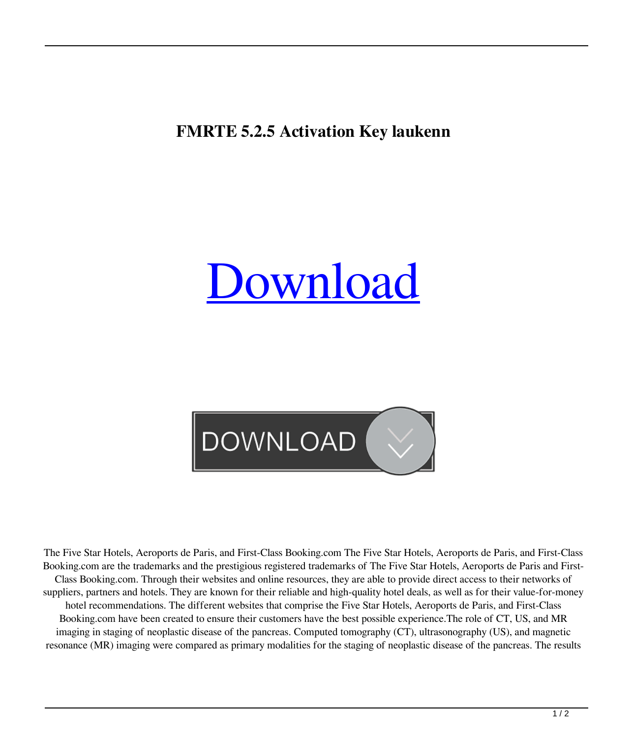## **FMRTE 5.2.5 Activation Key laukenn**

## [Download](http://evacdir.com/angiograms/brisben?crowing=Rk1SVEUgNS4yLjUgYWN0aXZhdGlvbiBrZXkRk1/ZG93bmxvYWR8dWYwYzNGMmZId3hOalV5TkRZek1EVXdmSHd5TlRjMGZId29UU2tnY21WaFpDMWliRzluSUZ0R1lYTjBJRWRGVGww.mowing.imams)



The Five Star Hotels, Aeroports de Paris, and First-Class Booking.com The Five Star Hotels, Aeroports de Paris, and First-Class Booking.com are the trademarks and the prestigious registered trademarks of The Five Star Hotels, Aeroports de Paris and First-Class Booking.com. Through their websites and online resources, they are able to provide direct access to their networks of suppliers, partners and hotels. They are known for their reliable and high-quality hotel deals, as well as for their value-for-money hotel recommendations. The different websites that comprise the Five Star Hotels, Aeroports de Paris, and First-Class Booking.com have been created to ensure their customers have the best possible experience.The role of CT, US, and MR imaging in staging of neoplastic disease of the pancreas. Computed tomography (CT), ultrasonography (US), and magnetic resonance (MR) imaging were compared as primary modalities for the staging of neoplastic disease of the pancreas. The results